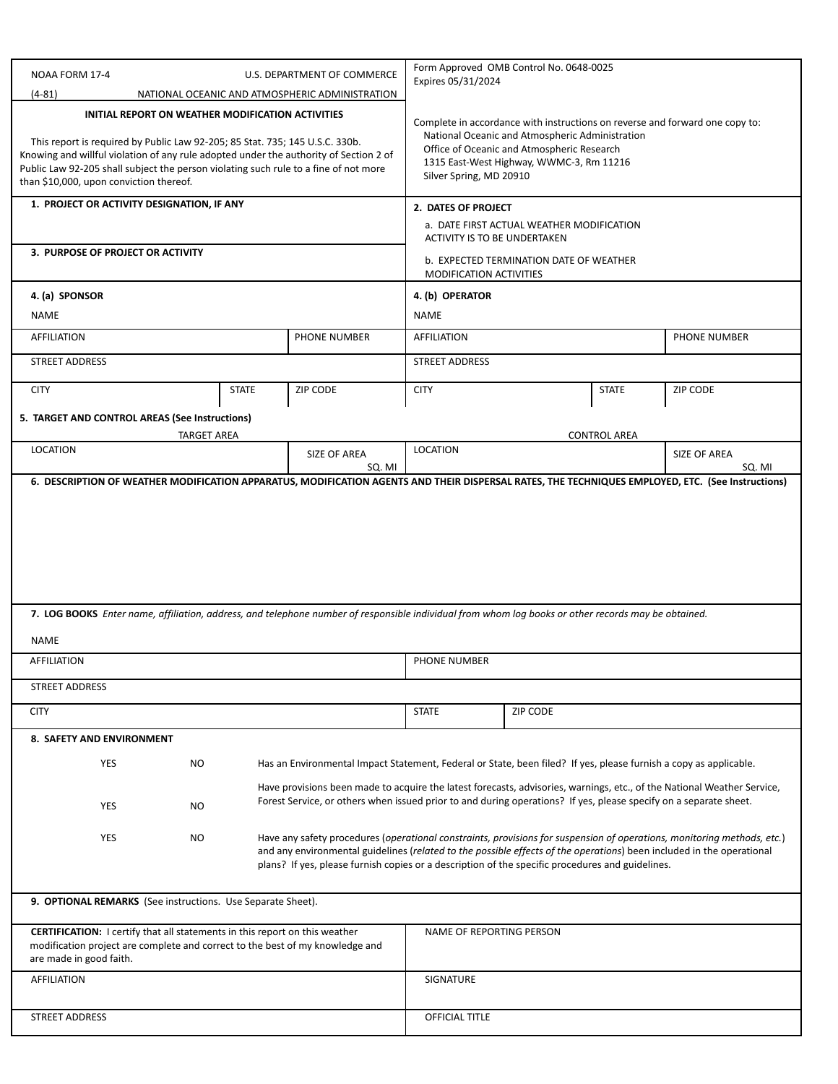| NOAA FORM 17-4<br>U.S. DEPARTMENT OF COMMERCE                                                                                                                                                                                                                                                                                                                                                                                | Form Approved OMB Control No. 0648-0025<br>Expires 05/31/2024                                                     |                                                                                                                                                                                                                                                      |              |              |                                                                                                                                                                                                                                                  |  |
|------------------------------------------------------------------------------------------------------------------------------------------------------------------------------------------------------------------------------------------------------------------------------------------------------------------------------------------------------------------------------------------------------------------------------|-------------------------------------------------------------------------------------------------------------------|------------------------------------------------------------------------------------------------------------------------------------------------------------------------------------------------------------------------------------------------------|--------------|--------------|--------------------------------------------------------------------------------------------------------------------------------------------------------------------------------------------------------------------------------------------------|--|
| $(4-81)$<br>NATIONAL OCEANIC AND ATMOSPHERIC ADMINISTRATION<br>INITIAL REPORT ON WEATHER MODIFICATION ACTIVITIES<br>This report is required by Public Law 92-205; 85 Stat. 735; 145 U.S.C. 330b.<br>Knowing and willful violation of any rule adopted under the authority of Section 2 of<br>Public Law 92-205 shall subject the person violating such rule to a fine of not more<br>than \$10,000, upon conviction thereof. |                                                                                                                   | Complete in accordance with instructions on reverse and forward one copy to:<br>National Oceanic and Atmospheric Administration<br>Office of Oceanic and Atmospheric Research<br>1315 East-West Highway, WWMC-3, Rm 11216<br>Silver Spring, MD 20910 |              |              |                                                                                                                                                                                                                                                  |  |
| 1. PROJECT OR ACTIVITY DESIGNATION, IF ANY                                                                                                                                                                                                                                                                                                                                                                                   |                                                                                                                   | 2. DATES OF PROJECT                                                                                                                                                                                                                                  |              |              |                                                                                                                                                                                                                                                  |  |
|                                                                                                                                                                                                                                                                                                                                                                                                                              | a. DATE FIRST ACTUAL WEATHER MODIFICATION<br>ACTIVITY IS TO BE UNDERTAKEN                                         |                                                                                                                                                                                                                                                      |              |              |                                                                                                                                                                                                                                                  |  |
| 3. PURPOSE OF PROJECT OR ACTIVITY                                                                                                                                                                                                                                                                                                                                                                                            | b. EXPECTED TERMINATION DATE OF WEATHER<br>MODIFICATION ACTIVITIES                                                |                                                                                                                                                                                                                                                      |              |              |                                                                                                                                                                                                                                                  |  |
| 4. (a) SPONSOR                                                                                                                                                                                                                                                                                                                                                                                                               | 4. (b) OPERATOR                                                                                                   |                                                                                                                                                                                                                                                      |              |              |                                                                                                                                                                                                                                                  |  |
| NAME                                                                                                                                                                                                                                                                                                                                                                                                                         | <b>NAME</b>                                                                                                       |                                                                                                                                                                                                                                                      |              |              |                                                                                                                                                                                                                                                  |  |
| <b>AFFILIATION</b>                                                                                                                                                                                                                                                                                                                                                                                                           | PHONE NUMBER                                                                                                      | <b>AFFILIATION</b>                                                                                                                                                                                                                                   | PHONE NUMBER |              |                                                                                                                                                                                                                                                  |  |
| <b>STREET ADDRESS</b>                                                                                                                                                                                                                                                                                                                                                                                                        | <b>STREET ADDRESS</b>                                                                                             |                                                                                                                                                                                                                                                      |              |              |                                                                                                                                                                                                                                                  |  |
| <b>CITY</b><br><b>STATE</b>                                                                                                                                                                                                                                                                                                                                                                                                  | <b>ZIP CODE</b>                                                                                                   | <b>CITY</b>                                                                                                                                                                                                                                          |              | <b>STATE</b> | ZIP CODE                                                                                                                                                                                                                                         |  |
| 5. TARGET AND CONTROL AREAS (See Instructions)                                                                                                                                                                                                                                                                                                                                                                               |                                                                                                                   |                                                                                                                                                                                                                                                      |              |              |                                                                                                                                                                                                                                                  |  |
| <b>TARGET AREA</b><br><b>LOCATION</b>                                                                                                                                                                                                                                                                                                                                                                                        | <b>CONTROL AREA</b><br><b>LOCATION</b>                                                                            |                                                                                                                                                                                                                                                      |              |              |                                                                                                                                                                                                                                                  |  |
|                                                                                                                                                                                                                                                                                                                                                                                                                              | SIZE OF AREA<br>SQ. MI                                                                                            |                                                                                                                                                                                                                                                      |              |              | SIZE OF AREA<br>SQ. MI                                                                                                                                                                                                                           |  |
|                                                                                                                                                                                                                                                                                                                                                                                                                              |                                                                                                                   |                                                                                                                                                                                                                                                      |              |              |                                                                                                                                                                                                                                                  |  |
| 7. LOG BOOKS Enter name, affiliation, address, and telephone number of responsible individual from whom log books or other records may be obtained.<br><b>NAME</b>                                                                                                                                                                                                                                                           |                                                                                                                   |                                                                                                                                                                                                                                                      |              |              |                                                                                                                                                                                                                                                  |  |
| <b>AFFILIATION</b>                                                                                                                                                                                                                                                                                                                                                                                                           | <b>PHONE NUMBER</b>                                                                                               |                                                                                                                                                                                                                                                      |              |              |                                                                                                                                                                                                                                                  |  |
| <b>STREET ADDRESS</b>                                                                                                                                                                                                                                                                                                                                                                                                        |                                                                                                                   |                                                                                                                                                                                                                                                      |              |              |                                                                                                                                                                                                                                                  |  |
|                                                                                                                                                                                                                                                                                                                                                                                                                              |                                                                                                                   |                                                                                                                                                                                                                                                      |              |              |                                                                                                                                                                                                                                                  |  |
| <b>CITY</b>                                                                                                                                                                                                                                                                                                                                                                                                                  |                                                                                                                   | <b>STATE</b>                                                                                                                                                                                                                                         | ZIP CODE     |              |                                                                                                                                                                                                                                                  |  |
|                                                                                                                                                                                                                                                                                                                                                                                                                              |                                                                                                                   |                                                                                                                                                                                                                                                      |              |              |                                                                                                                                                                                                                                                  |  |
| 8. SAFETY AND ENVIRONMENT<br><b>YES</b><br><b>NO</b>                                                                                                                                                                                                                                                                                                                                                                         | Has an Environmental Impact Statement, Federal or State, been filed? If yes, please furnish a copy as applicable. |                                                                                                                                                                                                                                                      |              |              |                                                                                                                                                                                                                                                  |  |
|                                                                                                                                                                                                                                                                                                                                                                                                                              |                                                                                                                   |                                                                                                                                                                                                                                                      |              |              |                                                                                                                                                                                                                                                  |  |
| YES<br>NO.                                                                                                                                                                                                                                                                                                                                                                                                                   | Forest Service, or others when issued prior to and during operations? If yes, please specify on a separate sheet. |                                                                                                                                                                                                                                                      |              |              | Have provisions been made to acquire the latest forecasts, advisories, warnings, etc., of the National Weather Service,                                                                                                                          |  |
| <b>YES</b><br><b>NO</b>                                                                                                                                                                                                                                                                                                                                                                                                      | plans? If yes, please furnish copies or a description of the specific procedures and guidelines.                  |                                                                                                                                                                                                                                                      |              |              | Have any safety procedures (operational constraints, provisions for suspension of operations, monitoring methods, etc.)<br>and any environmental guidelines (related to the possible effects of the operations) been included in the operational |  |
| 9. OPTIONAL REMARKS (See instructions. Use Separate Sheet).                                                                                                                                                                                                                                                                                                                                                                  |                                                                                                                   |                                                                                                                                                                                                                                                      |              |              |                                                                                                                                                                                                                                                  |  |
| <b>CERTIFICATION:</b> I certify that all statements in this report on this weather<br>modification project are complete and correct to the best of my knowledge and<br>are made in good faith.                                                                                                                                                                                                                               |                                                                                                                   | NAME OF REPORTING PERSON                                                                                                                                                                                                                             |              |              |                                                                                                                                                                                                                                                  |  |
| <b>AFFILIATION</b>                                                                                                                                                                                                                                                                                                                                                                                                           |                                                                                                                   | SIGNATURE                                                                                                                                                                                                                                            |              |              |                                                                                                                                                                                                                                                  |  |